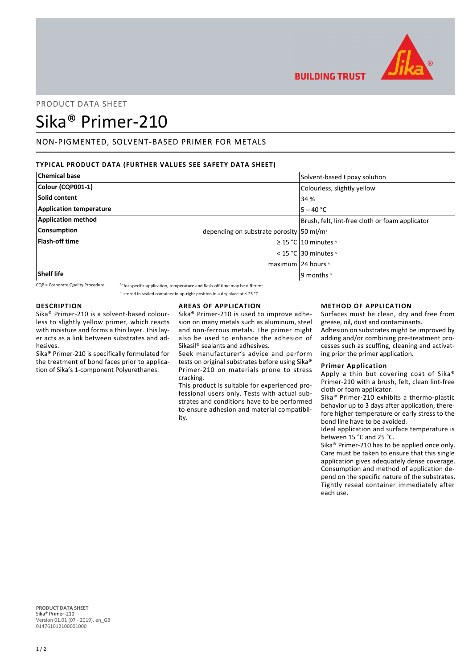

**BUILDING TRUST** 

# PRODUCT DATA SHEET

# Sika® Primer-210

# NON-PIGMENTED, SOLVENT-BASED PRIMER FOR METALS

## **TYPICAL PRODUCT DATA (FURTHER VALUES SEE SAFETY DATA SHEET)**

| <b>Chemical base</b>           | Solvent-based Epoxy solution                         |
|--------------------------------|------------------------------------------------------|
| Colour (CQP001-1)              | Colourless, slightly yellow                          |
| Solid content                  | 34 %                                                 |
| <b>Application temperature</b> | $5 - 40 °C$                                          |
| <b>Application method</b>      | Brush, felt, lint-free cloth or foam applicator      |
| <b>Consumption</b>             | depending on substrate porosity 50 ml/m <sup>2</sup> |
| <b>Flash-off time</b>          | $\geq$ 15 °C   10 minutes $\triangle$                |
|                                | < 15 °C 30 minutes $\lambda$                         |
|                                | maximum 24 hours ^                                   |
| <b>Shelf life</b>              | 9 months <sup>8</sup>                                |

 $CQP =$  Corporate Quality Procedure  $A)$  for specific application, temperature and flash-off time may be different

<sup>B)</sup> stored in sealed container in up-right position in a dry place at ≤ 25 °C

## **DESCRIPTION**

Sika® Primer-210 is a solvent-based colourless to slightly yellow primer, which reacts with moisture and forms a thin layer. This layer acts as a link between substrates and adhesives.

Sika® Primer-210 is specifically formulated for the treatment of bond faces prior to application of Sika's 1-component Polyurethanes.

## **AREAS OF APPLICATION**

Sika® Primer-210 is used to improve adhesion on many metals such as aluminum, steel and non-ferrous metals. The primer might also be used to enhance the adhesion of Sikasil® sealants and adhesives.

Seek manufacturer's advice and perform tests on original substrates before using Sika® Primer-210 on materials prone to stress cracking.

This product is suitable for experienced professional users only. Tests with actual substrates and conditions have to be performed to ensure adhesion and material compatibility.

## **METHOD OF APPLICATION**

Surfaces must be clean, dry and free from grease, oil, dust and contaminants.

Adhesion on substrates might be improved by adding and/or combining pre-treatment processes such as scuffing, cleaning and activating prior the primer application.

#### **Primer Application**

Apply a thin but covering coat of Sika® Primer-210 with a brush, felt, clean lint-free cloth or foam applicator.

Sika® Primer-210 exhibits a thermo-plastic behavior up to 3 days after application, therefore higher temperature or early stress to the bond line have to be avoided.

Ideal application and surface temperature is between 15 °C and 25 °C.

Sika® Primer-210 has to be applied once only. Care must be taken to ensure that this single application gives adequately dense coverage. Consumption and method of application depend on the specific nature of the substrates. Tightly reseal container immediately after each use.

**PRODUCT DATA SHEET** Sika® Primer-210 Version 01.01 (07 - 2019), en\_GB 014761012100001000